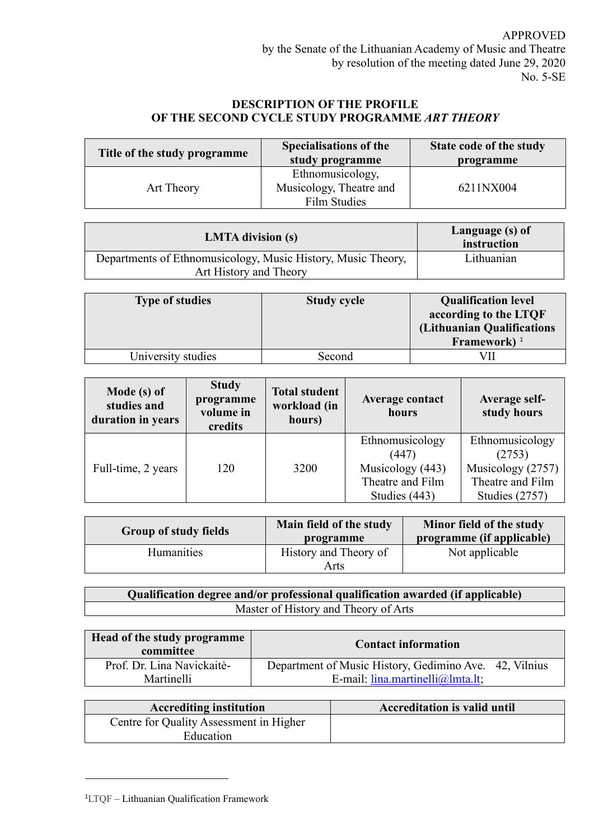## **DESCRIPTION OF THE PROFILE OF THE SECOND CYCLE STUDY PROGRAMME** *ART THEORY*

| Title of the study programme | Specialisations of the<br>study programme                   | State code of the study<br>programme |  |
|------------------------------|-------------------------------------------------------------|--------------------------------------|--|
| Art Theory                   | Ethnomusicology,<br>Musicology, Theatre and<br>Film Studies | 6211NX004                            |  |

| <b>LMTA</b> division (s)                                                               | Language (s) of<br>instruction |
|----------------------------------------------------------------------------------------|--------------------------------|
| Departments of Ethnomusicology, Music History, Music Theory,<br>Art History and Theory | Lithuanian                     |

| <b>Type of studies</b> | <b>Study cycle</b> | <b>Qualification level</b><br>according to the LTQF<br>(Lithuanian Qualifications<br>Framework) <sup>1</sup> |
|------------------------|--------------------|--------------------------------------------------------------------------------------------------------------|
| University studies     | Second             |                                                                                                              |

| Mode (s) of<br>studies and<br>duration in years | <b>Study</b><br>programme<br>volume in<br>credits | <b>Total student</b><br>workload (in<br>hours) | <b>Average contact</b><br>hours | <b>Average self-</b><br>study hours |
|-------------------------------------------------|---------------------------------------------------|------------------------------------------------|---------------------------------|-------------------------------------|
|                                                 |                                                   |                                                | Ethnomusicology<br>(447)        | Ethnomusicology<br>(2753)           |
| Full-time, 2 years                              | 120                                               | 3200                                           | Musicology (443)                | Musicology (2757)                   |
|                                                 |                                                   |                                                | Theatre and Film                | Theatre and Film                    |
|                                                 |                                                   |                                                | Studies (443)                   | Studies (2757)                      |

| <b>Group of study fields</b> | Main field of the study<br>programme | Minor field of the study<br>programme (if applicable) |  |
|------------------------------|--------------------------------------|-------------------------------------------------------|--|
| <b>Humanities</b>            | History and Theory of<br>Arts        | Not applicable                                        |  |

**Qualification degree and/or professional qualification awarded (if applicable)** Master of History and Theory of Arts

| Head of the study programme<br>committee | <b>Contact information</b>                             |
|------------------------------------------|--------------------------------------------------------|
| Prof. Dr. Lina Navickaitė-               | Department of Music History, Gedimino Ave. 42, Vilnius |
| Martinelli                               | E-mail: $l$ ina.martinelli@lmta.lt;                    |

| <b>Accrediting institution</b>          | <b>Accreditation is valid until</b> |
|-----------------------------------------|-------------------------------------|
| Centre for Quality Assessment in Higher |                                     |
| Education                               |                                     |

<sup>1</sup>LTQF – Lithuanian Qualification Framework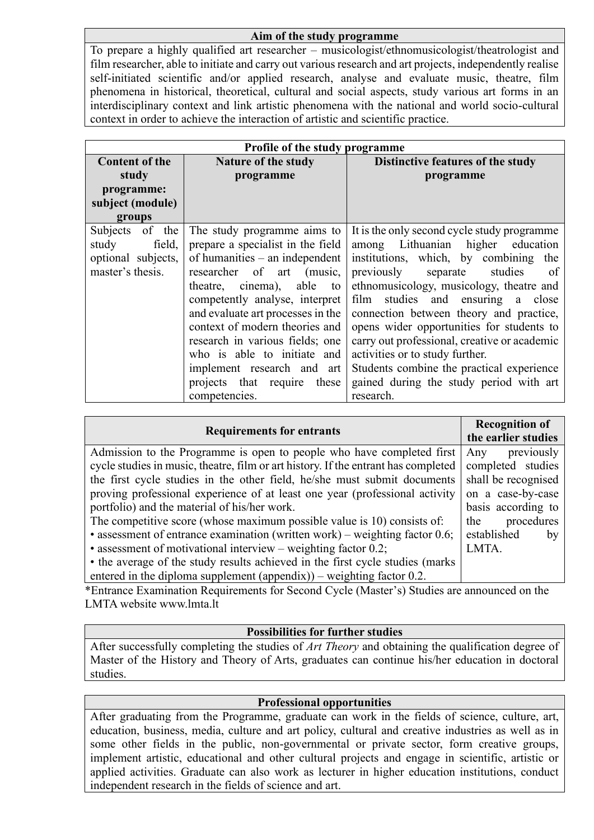## **Aim of the study programme**

To prepare a highly qualified art researcher – musicologist/ethnomusicologist/theatrologist and film researcher, able to initiate and carry out various research and art projects, independently realise self-initiated scientific and/or applied research, analyse and evaluate music, theatre, film phenomena in historical, theoretical, cultural and social aspects, study various art forms in an interdisciplinary context and link artistic phenomena with the national and world socio-cultural context in order to achieve the interaction of artistic and scientific practice.

| Profile of the study programme                                               |                                                                                                                                                                                                                                                                                                                                                                                                                               |                                                                                                                                                                                                                                                                                                                                                                                                                                                                                                                                                |
|------------------------------------------------------------------------------|-------------------------------------------------------------------------------------------------------------------------------------------------------------------------------------------------------------------------------------------------------------------------------------------------------------------------------------------------------------------------------------------------------------------------------|------------------------------------------------------------------------------------------------------------------------------------------------------------------------------------------------------------------------------------------------------------------------------------------------------------------------------------------------------------------------------------------------------------------------------------------------------------------------------------------------------------------------------------------------|
| <b>Content of the</b><br><b>Nature of the study</b>                          |                                                                                                                                                                                                                                                                                                                                                                                                                               | Distinctive features of the study                                                                                                                                                                                                                                                                                                                                                                                                                                                                                                              |
| study                                                                        | programme                                                                                                                                                                                                                                                                                                                                                                                                                     | programme                                                                                                                                                                                                                                                                                                                                                                                                                                                                                                                                      |
| programme:                                                                   |                                                                                                                                                                                                                                                                                                                                                                                                                               |                                                                                                                                                                                                                                                                                                                                                                                                                                                                                                                                                |
| subject (module)                                                             |                                                                                                                                                                                                                                                                                                                                                                                                                               |                                                                                                                                                                                                                                                                                                                                                                                                                                                                                                                                                |
| groups                                                                       |                                                                                                                                                                                                                                                                                                                                                                                                                               |                                                                                                                                                                                                                                                                                                                                                                                                                                                                                                                                                |
| Subjects of the<br>study<br>field,<br>optional subjects,<br>master's thesis. | The study programme aims to<br>prepare a specialist in the field<br>of humanities $-$ an independent<br>researcher of art<br>(music,<br>theatre, cinema), able to<br>competently analyse, interpret<br>and evaluate art processes in the<br>context of modern theories and<br>research in various fields; one<br>who is able to initiate and<br>implement research and art<br>projects that require<br>these<br>competencies. | It is the only second cycle study programme<br>among Lithuanian higher education<br>institutions, which, by combining<br>the<br>previously<br>studies<br>separate<br>of<br>ethnomusicology, musicology, theatre and<br>film<br>studies and ensuring<br>a close<br>connection between theory and practice,<br>opens wider opportunities for students to<br>carry out professional, creative or academic<br>activities or to study further.<br>Students combine the practical experience<br>gained during the study period with art<br>research. |

| <b>Requirements for entrants</b>                                                   | <b>Recognition of</b><br>the earlier studies |
|------------------------------------------------------------------------------------|----------------------------------------------|
| Admission to the Programme is open to people who have completed first              | previously<br>Any                            |
| cycle studies in music, theatre, film or art history. If the entrant has completed | completed studies                            |
| the first cycle studies in the other field, he/she must submit documents           | shall be recognised                          |
| proving professional experience of at least one year (professional activity        | on a case-by-case                            |
| portfolio) and the material of his/her work.                                       | basis according to                           |
| The competitive score (whose maximum possible value is 10) consists of:            | procedures<br>the                            |
| • assessment of entrance examination (written work) – weighting factor $0.6$ ;     | established<br>by                            |
| $\bullet$ assessment of motivational interview – weighting factor 0.2;             | LMTA.                                        |
| • the average of the study results achieved in the first cycle studies (marks)     |                                              |
| entered in the diploma supplement (appendix)) – weighting factor $0.2$ .           |                                              |

\*Entrance Examination Requirements for Second Cycle (Master's) Studies are announced on the LMTA website www.lmta.lt

## **Possibilities for further studies**

After successfully completing the studies of *Art Theory* and obtaining the qualification degree of Master of the History and Theory of Arts, graduates can continue his/her education in doctoral studies.

## **Professional opportunities**

After graduating from the Programme, graduate can work in the fields of science, culture, art, education, business, media, culture and art policy, cultural and creative industries as well as in some other fields in the public, non-governmental or private sector, form creative groups, implement artistic, educational and other cultural projects and engage in scientific, artistic or applied activities. Graduate can also work as lecturer in higher education institutions, conduct independent research in the fields of science and art.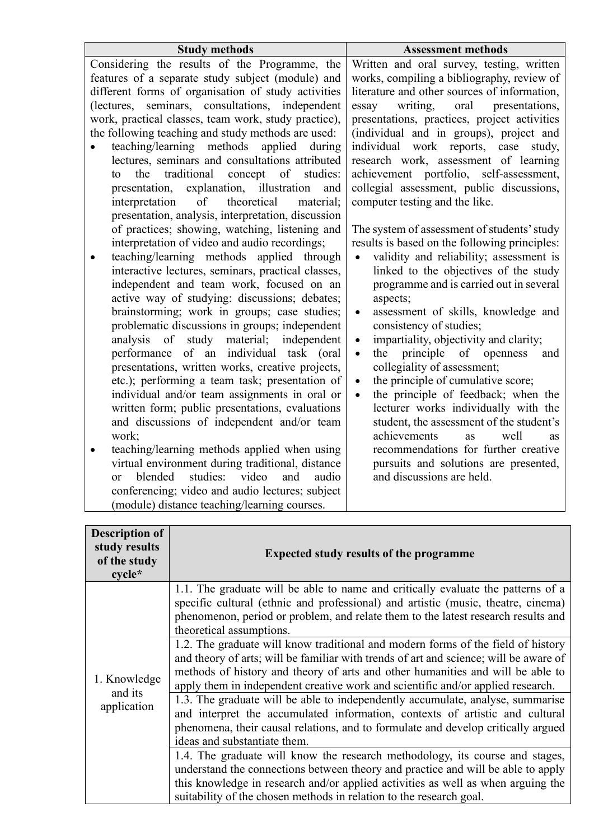| <b>Study methods</b>                                                                          | <b>Assessment methods</b>                                                        |
|-----------------------------------------------------------------------------------------------|----------------------------------------------------------------------------------|
| Considering the results of the Programme, the                                                 | Written and oral survey, testing, written                                        |
| features of a separate study subject (module) and                                             | works, compiling a bibliography, review of                                       |
| different forms of organisation of study activities                                           | literature and other sources of information,                                     |
| (lectures, seminars, consultations, independent                                               | writing,<br>oral<br>presentations,<br>essay                                      |
| work, practical classes, team work, study practice),                                          | presentations, practices, project activities                                     |
| the following teaching and study methods are used:                                            | (individual and in groups), project and                                          |
| teaching/learning<br>methods<br>applied<br>during                                             | individual work reports, case study,                                             |
| lectures, seminars and consultations attributed                                               | research work, assessment of learning                                            |
| traditional<br>concept of<br>studies:<br>the<br>to                                            | achievement portfolio, self-assessment,                                          |
| explanation, illustration<br>presentation,<br>and                                             | collegial assessment, public discussions,                                        |
| of<br>theoretical<br>material;<br>interpretation                                              | computer testing and the like.                                                   |
| presentation, analysis, interpretation, discussion                                            |                                                                                  |
| of practices; showing, watching, listening and                                                | The system of assessment of students' study                                      |
| interpretation of video and audio recordings;                                                 | results is based on the following principles:                                    |
| teaching/learning methods applied through                                                     | validity and reliability; assessment is<br>$\bullet$                             |
| interactive lectures, seminars, practical classes,                                            | linked to the objectives of the study                                            |
| independent and team work, focused on an                                                      | programme and is carried out in several                                          |
| active way of studying: discussions; debates;                                                 | aspects;                                                                         |
| brainstorming; work in groups; case studies;                                                  | assessment of skills, knowledge and<br>$\bullet$                                 |
| problematic discussions in groups; independent                                                | consistency of studies;                                                          |
| of study<br>material; independent<br>analysis                                                 | impartiality, objectivity and clarity;<br>$\bullet$                              |
| performance of an individual task (oral                                                       | principle of openness<br>the<br>and<br>$\bullet$                                 |
| presentations, written works, creative projects,                                              | collegiality of assessment;                                                      |
| etc.); performing a team task; presentation of                                                | the principle of cumulative score;<br>$\bullet$                                  |
| individual and/or team assignments in oral or                                                 | the principle of feedback; when the<br>$\bullet$                                 |
| written form; public presentations, evaluations<br>and discussions of independent and/or team | lecturer works individually with the<br>student, the assessment of the student's |
| work;                                                                                         | achievements<br>well<br>as                                                       |
| teaching/learning methods applied when using                                                  | <b>as</b><br>recommendations for further creative                                |
| virtual environment during traditional, distance                                              | pursuits and solutions are presented,                                            |
| studies:<br>blended<br>video<br>and<br>audio<br>or                                            | and discussions are held.                                                        |

| <b>Description of</b><br>study results<br>of the study<br>$cycle*$ | <b>Expected study results of the programme</b>                                                                                                                                                                                                                                                                                                                                                                                                                                                                                                                                                                                                                                                                                                                                                                                                                                                                                                                                                                                                                                                                                                                                                                                                                 |  |
|--------------------------------------------------------------------|----------------------------------------------------------------------------------------------------------------------------------------------------------------------------------------------------------------------------------------------------------------------------------------------------------------------------------------------------------------------------------------------------------------------------------------------------------------------------------------------------------------------------------------------------------------------------------------------------------------------------------------------------------------------------------------------------------------------------------------------------------------------------------------------------------------------------------------------------------------------------------------------------------------------------------------------------------------------------------------------------------------------------------------------------------------------------------------------------------------------------------------------------------------------------------------------------------------------------------------------------------------|--|
| 1. Knowledge<br>and its<br>application                             | 1.1. The graduate will be able to name and critically evaluate the patterns of a<br>specific cultural (ethnic and professional) and artistic (music, theatre, cinema)<br>phenomenon, period or problem, and relate them to the latest research results and<br>theoretical assumptions.<br>1.2. The graduate will know traditional and modern forms of the field of history<br>and theory of arts; will be familiar with trends of art and science; will be aware of<br>methods of history and theory of arts and other humanities and will be able to<br>apply them in independent creative work and scientific and/or applied research.<br>1.3. The graduate will be able to independently accumulate, analyse, summarise<br>and interpret the accumulated information, contexts of artistic and cultural<br>phenomena, their causal relations, and to formulate and develop critically argued<br>ideas and substantiate them.<br>1.4. The graduate will know the research methodology, its course and stages,<br>understand the connections between theory and practice and will be able to apply<br>this knowledge in research and/or applied activities as well as when arguing the<br>suitability of the chosen methods in relation to the research goal. |  |

conferencing; video and audio lectures; subject (module) distance teaching/learning courses.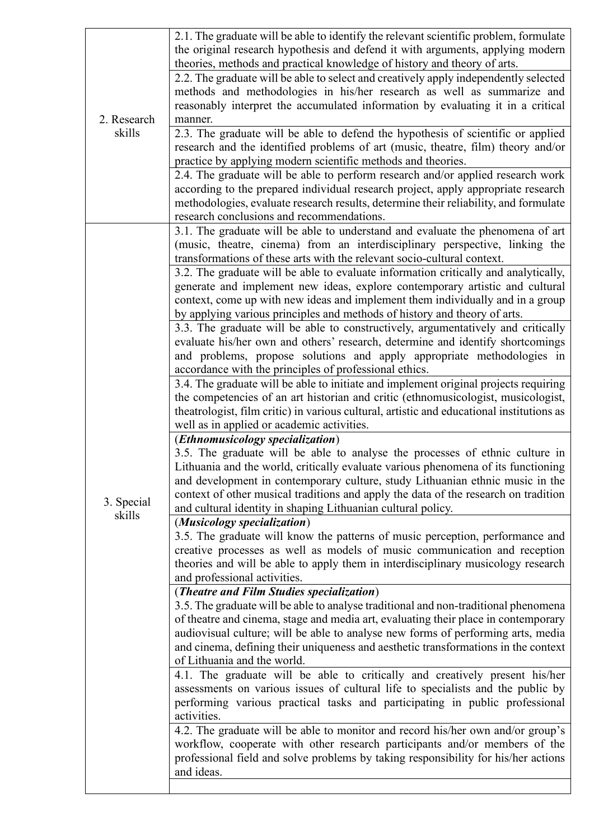|                       | 2.1. The graduate will be able to identify the relevant scientific problem, formulate<br>the original research hypothesis and defend it with arguments, applying modern<br>theories, methods and practical knowledge of history and theory of arts.                                                                                                                                                                                                    |
|-----------------------|--------------------------------------------------------------------------------------------------------------------------------------------------------------------------------------------------------------------------------------------------------------------------------------------------------------------------------------------------------------------------------------------------------------------------------------------------------|
|                       | 2.2. The graduate will be able to select and creatively apply independently selected<br>methods and methodologies in his/her research as well as summarize and<br>reasonably interpret the accumulated information by evaluating it in a critical                                                                                                                                                                                                      |
| 2. Research<br>skills | manner.<br>2.3. The graduate will be able to defend the hypothesis of scientific or applied<br>research and the identified problems of art (music, theatre, film) theory and/or<br>practice by applying modern scientific methods and theories.                                                                                                                                                                                                        |
|                       | 2.4. The graduate will be able to perform research and/or applied research work<br>according to the prepared individual research project, apply appropriate research<br>methodologies, evaluate research results, determine their reliability, and formulate<br>research conclusions and recommendations.                                                                                                                                              |
|                       | 3.1. The graduate will be able to understand and evaluate the phenomena of art<br>(music, theatre, cinema) from an interdisciplinary perspective, linking the<br>transformations of these arts with the relevant socio-cultural context.                                                                                                                                                                                                               |
|                       | 3.2. The graduate will be able to evaluate information critically and analytically,<br>generate and implement new ideas, explore contemporary artistic and cultural<br>context, come up with new ideas and implement them individually and in a group<br>by applying various principles and methods of history and theory of arts.                                                                                                                     |
| 3. Special<br>skills  | 3.3. The graduate will be able to constructively, argumentatively and critically<br>evaluate his/her own and others' research, determine and identify shortcomings<br>and problems, propose solutions and apply appropriate methodologies in<br>accordance with the principles of professional ethics.                                                                                                                                                 |
|                       | 3.4. The graduate will be able to initiate and implement original projects requiring<br>the competencies of an art historian and critic (ethnomusicologist, musicologist,<br>theatrologist, film critic) in various cultural, artistic and educational institutions as<br>well as in applied or academic activities.                                                                                                                                   |
|                       | ( <i>Ethnomusicology specialization</i> )<br>3.5. The graduate will be able to analyse the processes of ethnic culture in<br>Lithuania and the world, critically evaluate various phenomena of its functioning<br>and development in contemporary culture, study Lithuanian ethnic music in the<br>context of other musical traditions and apply the data of the research on tradition<br>and cultural identity in shaping Lithuanian cultural policy. |
|                       | (Musicology specialization)<br>3.5. The graduate will know the patterns of music perception, performance and<br>creative processes as well as models of music communication and reception<br>theories and will be able to apply them in interdisciplinary musicology research<br>and professional activities.                                                                                                                                          |
|                       | (Theatre and Film Studies specialization)<br>3.5. The graduate will be able to analyse traditional and non-traditional phenomena<br>of theatre and cinema, stage and media art, evaluating their place in contemporary<br>audiovisual culture; will be able to analyse new forms of performing arts, media<br>and cinema, defining their uniqueness and aesthetic transformations in the context<br>of Lithuania and the world.                        |
|                       | 4.1. The graduate will be able to critically and creatively present his/her<br>assessments on various issues of cultural life to specialists and the public by<br>performing various practical tasks and participating in public professional<br>activities.                                                                                                                                                                                           |
|                       | 4.2. The graduate will be able to monitor and record his/her own and/or group's<br>workflow, cooperate with other research participants and/or members of the<br>professional field and solve problems by taking responsibility for his/her actions<br>and ideas.                                                                                                                                                                                      |
|                       |                                                                                                                                                                                                                                                                                                                                                                                                                                                        |